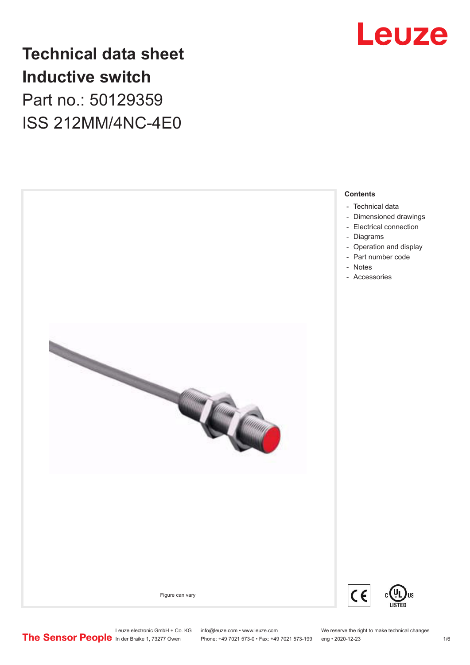

## **Technical data sheet Inductive switch** Part no.: 50129359 ISS 212MM/4NC-4E0

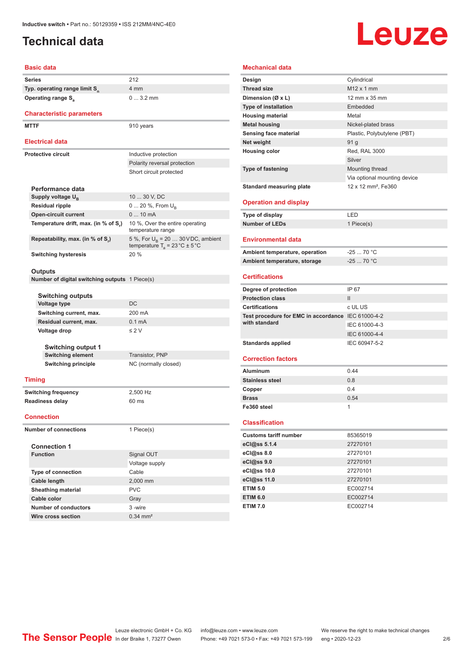### <span id="page-1-0"></span>**Technical data**

# Leuze

#### **Basic data**

|             | <b>Series</b>                                         | 212                                                                                      |
|-------------|-------------------------------------------------------|------------------------------------------------------------------------------------------|
|             | Typ. operating range limit S <sub>n</sub>             | 4 mm                                                                                     |
|             | <b>Operating range S</b> <sub>a</sub>                 | $03.2$ mm                                                                                |
|             |                                                       |                                                                                          |
|             | <b>Characteristic parameters</b>                      |                                                                                          |
| <b>MTTF</b> |                                                       | 910 years                                                                                |
|             |                                                       |                                                                                          |
|             | <b>Electrical data</b>                                |                                                                                          |
|             | <b>Protective circuit</b>                             | Inductive protection                                                                     |
|             |                                                       | Polarity reversal protection                                                             |
|             |                                                       | Short circuit protected                                                                  |
|             |                                                       |                                                                                          |
|             | Performance data                                      |                                                                                          |
|             | Supply voltage $U_{\rm R}$                            | 10  30 V, DC                                                                             |
|             | <b>Residual ripple</b>                                | 0  20 %, From $U_{\rm B}$                                                                |
|             | <b>Open-circuit current</b>                           | $010$ mA                                                                                 |
|             | Temperature drift, max. (in % of S.)                  | 10 %, Over the entire operating<br>temperature range                                     |
|             | Repeatability, max. (in % of S.)                      | 5 %, For $U_B$ = 20  30 VDC, ambient<br>temperature $T_a = 23 \degree C \pm 5 \degree C$ |
|             | <b>Switching hysteresis</b>                           | 20 %                                                                                     |
|             |                                                       |                                                                                          |
|             | Outputs                                               |                                                                                          |
|             | <b>Number of digital switching outputs</b> 1 Piece(s) |                                                                                          |
|             |                                                       |                                                                                          |
|             | <b>Switching outputs</b>                              |                                                                                          |
|             | Voltage type                                          | DC                                                                                       |
|             | Switching current, max.                               | 200 mA                                                                                   |
|             | Residual current, max.                                | 0.1 <sub>m</sub> A                                                                       |
|             | Voltage drop                                          | $\leq$ 2 V                                                                               |
|             |                                                       |                                                                                          |
|             | Switching output 1<br><b>Switching element</b>        | Transistor, PNP                                                                          |
|             | <b>Switching principle</b>                            | NC (normally closed)                                                                     |
|             |                                                       |                                                                                          |
|             | <b>Timing</b>                                         |                                                                                          |
|             | Switching frequency                                   | 2,500 Hz                                                                                 |
|             | <b>Readiness delay</b>                                | 60 ms                                                                                    |
|             |                                                       |                                                                                          |
|             | <b>Connection</b>                                     |                                                                                          |
|             | <b>Number of connections</b>                          | 1 Piece(s)                                                                               |
|             |                                                       |                                                                                          |
|             | <b>Connection 1</b>                                   |                                                                                          |
|             | <b>Function</b>                                       | Signal OUT                                                                               |
|             |                                                       | Voltage supply                                                                           |
|             | <b>Type of connection</b>                             | Cable                                                                                    |
|             | Cable length                                          | 2,000 mm                                                                                 |
|             | Sheathing material                                    | <b>PVC</b>                                                                               |
|             | Cable color                                           | Gray                                                                                     |
|             | <b>Number of conductors</b>                           | 3-wire                                                                                   |

| <b>Mechanical data</b>                                         |                                 |  |  |
|----------------------------------------------------------------|---------------------------------|--|--|
| Design                                                         | Cylindrical                     |  |  |
| <b>Thread size</b>                                             | $M12 \times 1$ mm               |  |  |
| Dimension (Ø x L)                                              | 12 mm x 35 mm                   |  |  |
| <b>Type of installation</b>                                    | Embedded                        |  |  |
| <b>Housing material</b>                                        | Metal                           |  |  |
| <b>Metal housing</b>                                           | Nickel-plated brass             |  |  |
| Sensing face material                                          | Plastic, Polybutylene (PBT)     |  |  |
| Net weight                                                     | 91 <sub>g</sub>                 |  |  |
| <b>Housing color</b>                                           | Red, RAL 3000                   |  |  |
|                                                                | Silver                          |  |  |
| <b>Type of fastening</b>                                       | Mounting thread                 |  |  |
|                                                                | Via optional mounting device    |  |  |
| <b>Standard measuring plate</b>                                | 12 x 12 mm <sup>2</sup> , Fe360 |  |  |
|                                                                |                                 |  |  |
| <b>Operation and display</b>                                   |                                 |  |  |
| <b>Type of display</b>                                         | LED                             |  |  |
| <b>Number of LEDs</b>                                          | 1 Piece(s)                      |  |  |
| <b>Environmental data</b>                                      |                                 |  |  |
|                                                                | $-25$ 70 °C                     |  |  |
| Ambient temperature, operation<br>Ambient temperature, storage | $-25$ 70 °C                     |  |  |
|                                                                |                                 |  |  |
| <b>Certifications</b>                                          |                                 |  |  |
|                                                                |                                 |  |  |
| Degree of protection                                           | IP 67                           |  |  |
| <b>Protection class</b>                                        | $\mathbf{H}$                    |  |  |
| <b>Certifications</b>                                          | c UL US                         |  |  |
| Test procedure for EMC in accordance IEC 61000-4-2             |                                 |  |  |
| with standard                                                  | IEC 61000-4-3                   |  |  |
|                                                                | IEC 61000-4-4                   |  |  |
| <b>Standards applied</b>                                       | IEC 60947-5-2                   |  |  |
|                                                                |                                 |  |  |
| <b>Correction factors</b>                                      |                                 |  |  |
| <b>Aluminum</b>                                                | 0.44                            |  |  |
| <b>Stainless steel</b>                                         | 0.8                             |  |  |
| Copper                                                         | 0.4                             |  |  |
| <b>Brass</b>                                                   | 0.54                            |  |  |
| Fe360 steel                                                    | 1                               |  |  |
| <b>Classification</b>                                          |                                 |  |  |
| <b>Customs tariff number</b>                                   | 85365019                        |  |  |
| eCl@ss 5.1.4                                                   | 27270101                        |  |  |
| eCl@ss 8.0                                                     | 27270101                        |  |  |
| eCl@ss 9.0                                                     | 27270101                        |  |  |
| eCl@ss 10.0                                                    | 27270101                        |  |  |
| eCl@ss 11.0                                                    | 27270101                        |  |  |
| <b>ETIM 5.0</b>                                                | EC002714                        |  |  |

**Wire cross section** 0.34 mm<sup>2</sup>

**ETIM 7.0** EC002714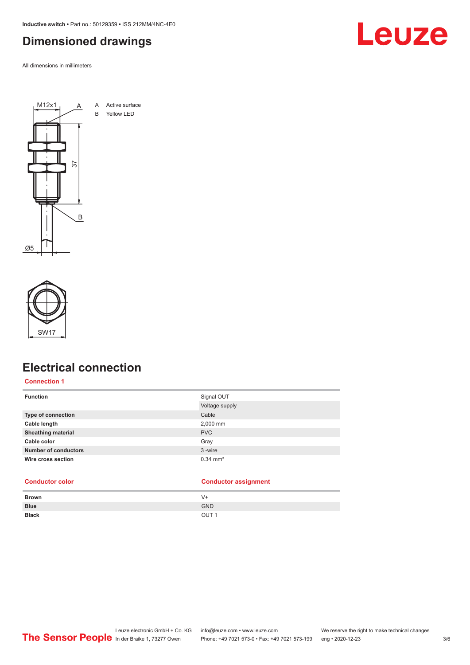<span id="page-2-0"></span>**Inductive switch •** Part no.: 50129359 **•** ISS 212MM/4NC-4E0

#### **Dimensioned drawings**

All dimensions in millimeters







#### **Electrical connection**

**Connection 1**

| <b>Function</b>             | Signal OUT            |
|-----------------------------|-----------------------|
|                             | Voltage supply        |
| Type of connection          | Cable                 |
| Cable length                | 2,000 mm              |
| <b>Sheathing material</b>   | <b>PVC</b>            |
| Cable color                 | Gray                  |
| <b>Number of conductors</b> | 3-wire                |
| Wire cross section          | $0.34 \, \text{mm}^2$ |

| <b>Conductor color</b> | <b>Conductor assignment</b> |
|------------------------|-----------------------------|
| <b>Brown</b>           | V+                          |
| <b>Blue</b>            | <b>GND</b>                  |
| <b>Black</b>           | OUT <sub>1</sub>            |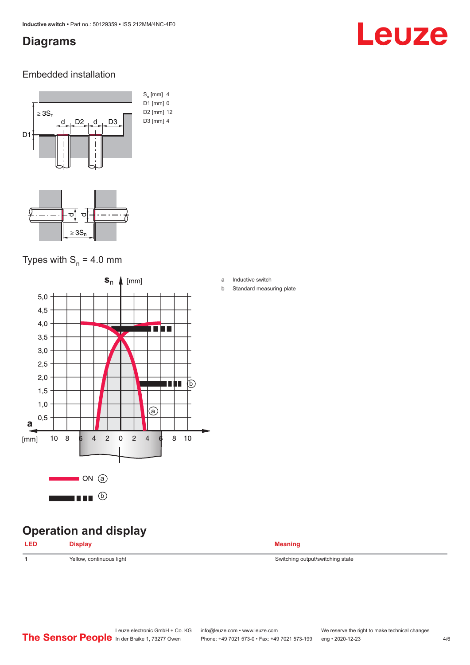#### <span id="page-3-0"></span>**Diagrams**

## Leuze

#### Embedded installation



#### Types with  $S_n = 4.0$  mm



### **Operation and display**

| LED | <b>Display</b> | <b>Meaning</b> |
|-----|----------------|----------------|
|     |                |                |

a Inductive switch

b Standard measuring plate

**1** Yellow, continuous light Switching output/switching state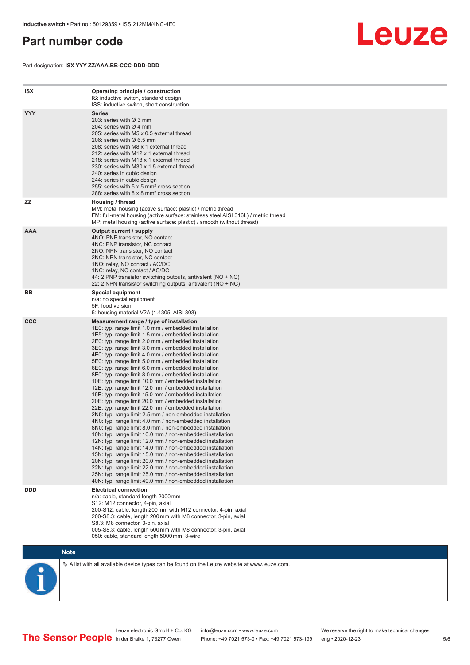#### <span id="page-4-0"></span>**Part number code**

Part designation: **ISX YYY ZZ/AAA.BB-CCC-DDD-DDD**



| <b>ISX</b> | Operating principle / construction<br>IS: inductive switch, standard design<br>ISS: inductive switch, short construction                                                                                                                                                                                                                                                                                                                                                                                                                                                                                                                                                                                                                                                                                                                                                                                                                                                                                                                                                                                                                                                                                                                                                                                                                                                                                                                                                                          |
|------------|---------------------------------------------------------------------------------------------------------------------------------------------------------------------------------------------------------------------------------------------------------------------------------------------------------------------------------------------------------------------------------------------------------------------------------------------------------------------------------------------------------------------------------------------------------------------------------------------------------------------------------------------------------------------------------------------------------------------------------------------------------------------------------------------------------------------------------------------------------------------------------------------------------------------------------------------------------------------------------------------------------------------------------------------------------------------------------------------------------------------------------------------------------------------------------------------------------------------------------------------------------------------------------------------------------------------------------------------------------------------------------------------------------------------------------------------------------------------------------------------------|
| <b>YYY</b> | <b>Series</b><br>203: series with $\varnothing$ 3 mm<br>204: series with $\varnothing$ 4 mm<br>205: series with M5 x 0.5 external thread<br>206: series with $\varnothing$ 6.5 mm<br>208: series with M8 x 1 external thread<br>212: series with M12 x 1 external thread<br>218: series with M18 x 1 external thread<br>230: series with M30 x 1.5 external thread<br>240: series in cubic design<br>244: series in cubic design<br>255: series with 5 x 5 mm <sup>2</sup> cross section<br>288: series with 8 x 8 mm <sup>2</sup> cross section                                                                                                                                                                                                                                                                                                                                                                                                                                                                                                                                                                                                                                                                                                                                                                                                                                                                                                                                                  |
| <b>ZZ</b>  | Housing / thread<br>MM: metal housing (active surface: plastic) / metric thread<br>FM: full-metal housing (active surface: stainless steel AISI 316L) / metric thread<br>MP: metal housing (active surface: plastic) / smooth (without thread)                                                                                                                                                                                                                                                                                                                                                                                                                                                                                                                                                                                                                                                                                                                                                                                                                                                                                                                                                                                                                                                                                                                                                                                                                                                    |
| <b>AAA</b> | Output current / supply<br>4NO: PNP transistor, NO contact<br>4NC: PNP transistor, NC contact<br>2NO: NPN transistor, NO contact<br>2NC: NPN transistor, NC contact<br>1NO: relay, NO contact / AC/DC<br>1NC: relay, NC contact / AC/DC<br>44: 2 PNP transistor switching outputs, antivalent (NO + NC)<br>22: 2 NPN transistor switching outputs, antivalent (NO + NC)                                                                                                                                                                                                                                                                                                                                                                                                                                                                                                                                                                                                                                                                                                                                                                                                                                                                                                                                                                                                                                                                                                                           |
| BB         | Special equipment<br>n/a: no special equipment<br>5F: food version<br>5: housing material V2A (1.4305, AISI 303)                                                                                                                                                                                                                                                                                                                                                                                                                                                                                                                                                                                                                                                                                                                                                                                                                                                                                                                                                                                                                                                                                                                                                                                                                                                                                                                                                                                  |
| <b>CCC</b> | Measurement range / type of installation<br>1E0: typ. range limit 1.0 mm / embedded installation<br>1E5: typ. range limit 1.5 mm / embedded installation<br>2E0: typ. range limit 2.0 mm / embedded installation<br>3E0: typ. range limit 3.0 mm / embedded installation<br>4E0: typ. range limit 4.0 mm / embedded installation<br>5E0: typ. range limit 5.0 mm / embedded installation<br>6E0: typ. range limit 6.0 mm / embedded installation<br>8E0: typ. range limit 8.0 mm / embedded installation<br>10E: typ. range limit 10.0 mm / embedded installation<br>12E: typ. range limit 12.0 mm / embedded installation<br>15E: typ. range limit 15.0 mm / embedded installation<br>20E: typ. range limit 20.0 mm / embedded installation<br>22E: typ. range limit 22.0 mm / embedded installation<br>2N5: typ. range limit 2.5 mm / non-embedded installation<br>4N0: typ. range limit 4.0 mm / non-embedded installation<br>8N0: typ. range limit 8.0 mm / non-embedded installation<br>10N: typ. range limit 10.0 mm / non-embedded installation<br>12N: typ. range limit 12.0 mm / non-embedded installation<br>14N: typ. range limit 14.0 mm / non-embedded installation<br>15N: typ. range limit 15.0 mm / non-embedded installation<br>20N: typ. range limit 20.0 mm / non-embedded installation<br>22N: typ. range limit 22.0 mm / non-embedded installation<br>25N: typ. range limit 25.0 mm / non-embedded installation<br>40N: typ. range limit 40.0 mm / non-embedded installation |
| <b>DDD</b> | <b>Electrical connection</b><br>n/a: cable, standard length 2000 mm<br>S12: M12 connector, 4-pin, axial<br>200-S12: cable, length 200 mm with M12 connector, 4-pin, axial<br>200-S8.3: cable, length 200 mm with M8 connector, 3-pin, axial<br>S8.3: M8 connector, 3-pin, axial<br>005-S8.3: cable, length 500 mm with M8 connector, 3-pin, axial<br>050: cable, standard length 5000 mm, 3-wire                                                                                                                                                                                                                                                                                                                                                                                                                                                                                                                                                                                                                                                                                                                                                                                                                                                                                                                                                                                                                                                                                                  |

**Note**

 $\%$  A list with all available device types can be found on the Leuze website at www.leuze.com.

Leuze electronic GmbH + Co. KG info@leuze.com • www.leuze.com We reserve the right to make technical changes In der Braike 1, 73277 Owen Phone: +49 7021 573-0 • Fax: +49 7021 573-199 eng • 2020-12-23